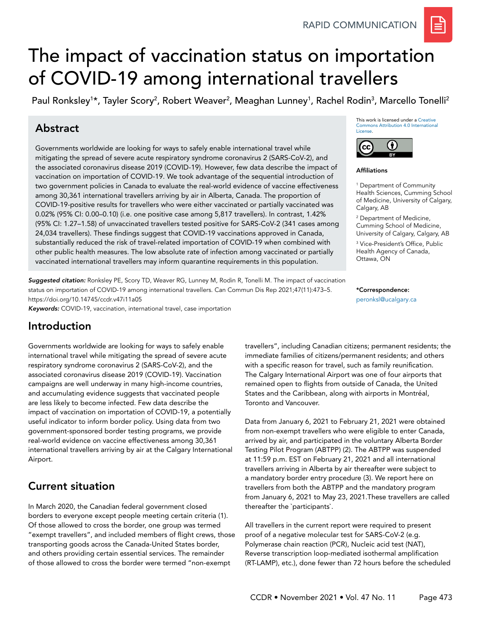# The impact of vaccination status on importation of COVID-19 among international travellers

Paul Ronksley<sup>1</sup>\*, Tayler Scory<sup>2</sup>, Robert Weaver<sup>2</sup>, Meaghan Lunney<sup>1</sup>, Rachel Rodin<sup>3</sup>, Marcello Tonelli<sup>2</sup>

## Abstract

Governments worldwide are looking for ways to safely enable international travel while mitigating the spread of severe acute respiratory syndrome coronavirus 2 (SARS-CoV-2), and the associated coronavirus disease 2019 (COVID-19). However, few data describe the impact of vaccination on importation of COVID-19. We took advantage of the sequential introduction of two government policies in Canada to evaluate the real-world evidence of vaccine effectiveness among 30,361 international travellers arriving by air in Alberta, Canada. The proportion of COVID-19-positive results for travellers who were either vaccinated or partially vaccinated was 0.02% (95% CI: 0.00–0.10) (i.e. one positive case among 5,817 travellers). In contrast, 1.42% (95% CI: 1.27–1.58) of unvaccinated travellers tested positive for SARS-CoV-2 (341 cases among 24,034 travellers). These findings suggest that COVID-19 vaccinations approved in Canada, substantially reduced the risk of travel-related importation of COVID-19 when combined with other public health measures. The low absolute rate of infection among vaccinated or partially vaccinated international travellers may inform quarantine requirements in this population.

*Suggested citation:* Ronksley PE, Scory TD, Weaver RG, Lunney M, Rodin R, Tonelli M. The impact of vaccination status on importation of COVID-19 among international travellers. Can Commun Dis Rep 2021;47(11):473–5. https://doi.org/10.14745/ccdr.v47i11a05

*Keywords:* COVID-19, vaccination, international travel, case importation

This work is licensed under a [Creative](https://creativecommons.org/licenses/by/4.0/)  [Commons Attribution 4.0 International](https://creativecommons.org/licenses/by/4.0/)  [License](https://creativecommons.org/licenses/by/4.0/).



Affiliations

1 Department of Community Health Sciences, Cumming School of Medicine, University of Calgary, Calgary, AB

2 Department of Medicine, Cumming School of Medicine, University of Calgary, Calgary, AB

3 Vice-President's Office, Public Health Agency of Canada, Ottawa, ON

\*Correspondence: [peronksl@ucalgary.ca](mailto:peronksl%40ucalgary.ca?subject=)

## Introduction

Governments worldwide are looking for ways to safely enable international travel while mitigating the spread of severe acute respiratory syndrome coronavirus 2 (SARS-CoV-2), and the associated coronavirus disease 2019 (COVID-19). Vaccination campaigns are well underway in many high-income countries, and accumulating evidence suggests that vaccinated people are less likely to become infected. Few data describe the impact of vaccination on importation of COVID-19, a potentially useful indicator to inform border policy. Using data from two government-sponsored border testing programs, we provide real-world evidence on vaccine effectiveness among 30,361 international travellers arriving by air at the Calgary International Airport.

## Current situation

In March 2020, the Canadian federal government closed borders to everyone except people meeting certain criteria (1). Of those allowed to cross the border, one group was termed "exempt travellers", and included members of flight crews, those transporting goods across the Canada-United States border, and others providing certain essential services. The remainder of those allowed to cross the border were termed "non-exempt

travellers", including Canadian citizens; permanent residents; the immediate families of citizens/permanent residents; and others with a specific reason for travel, such as family reunification. The Calgary International Airport was one of four airports that remained open to flights from outside of Canada, the United States and the Caribbean, along with airports in Montréal, Toronto and Vancouver.

Data from January 6, 2021 to February 21, 2021 were obtained from non-exempt travellers who were eligible to enter Canada, arrived by air, and participated in the voluntary Alberta Border Testing Pilot Program (ABTPP) (2). The ABTPP was suspended at 11:59 p.m. EST on February 21, 2021 and all international travellers arriving in Alberta by air thereafter were subject to a mandatory border entry procedure (3). We report here on travellers from both the ABTPP and the mandatory program from January 6, 2021 to May 23, 2021.These travellers are called thereafter the `participants`.

All travellers in the current report were required to present proof of a negative molecular test for SARS-CoV-2 (e.g. Polymerase chain reaction (PCR), Nucleic acid test (NAT), Reverse transcription loop-mediated isothermal amplification (RT-LAMP), etc.), done fewer than 72 hours before the scheduled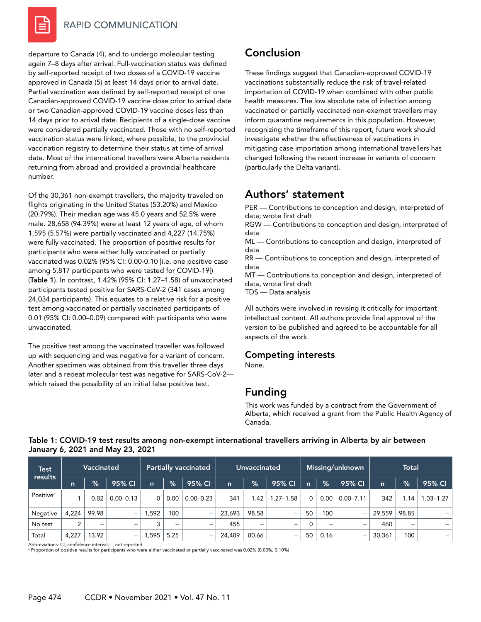

#### RAPID COMMUNICATION

departure to Canada (4), and to undergo molecular testing again 7–8 days after arrival. Full-vaccination status was defined by self-reported receipt of two doses of a COVID-19 vaccine approved in Canada (5) at least 14 days prior to arrival date. Partial vaccination was defined by self-reported receipt of one Canadian-approved COVID-19 vaccine dose prior to arrival date or two Canadian-approved COVID-19 vaccine doses less than 14 days prior to arrival date. Recipients of a single-dose vaccine were considered partially vaccinated. Those with no self-reported vaccination status were linked, where possible, to the provincial vaccination registry to determine their status at time of arrival date. Most of the international travellers were Alberta residents returning from abroad and provided a provincial healthcare number.

Of the 30,361 non-exempt travellers, the majority traveled on flights originating in the United States (53.20%) and Mexico (20.79%). Their median age was 45.0 years and 52.5% were male. 28,658 (94.39%) were at least 12 years of age, of whom 1,595 (5.57%) were partially vaccinated and 4,227 (14.75%) were fully vaccinated. The proportion of positive results for participants who were either fully vaccinated or partially vaccinated was 0.02% (95% CI: 0.00-0.10 [i.e. one positive case among 5,817 participants who were tested for COVID-19]) (Table 1). In contrast, 1.42% (95% CI: 1.27–1.58) of unvaccinated participants tested positive for SARS-CoV-2 (341 cases among 24,034 participants). This equates to a relative risk for a positive test among vaccinated or partially vaccinated participants of 0.01 (95% CI: 0.00–0.09) compared with participants who were unvaccinated.

The positive test among the vaccinated traveller was followed up with sequencing and was negative for a variant of concern. Another specimen was obtained from this traveller three days later and a repeat molecular test was negative for SARS-CoV-2 which raised the possibility of an initial false positive test.

## Conclusion

These findings suggest that Canadian-approved COVID-19 vaccinations substantially reduce the risk of travel-related importation of COVID-19 when combined with other public health measures. The low absolute rate of infection among vaccinated or partially vaccinated non-exempt travellers may inform quarantine requirements in this population. However, recognizing the timeframe of this report, future work should investigate whether the effectiveness of vaccinations in mitigating case importation among international travellers has changed following the recent increase in variants of concern (particularly the Delta variant).

## Authors' statement

PER — Contributions to conception and design, interpreted of data; wrote first draft

RGW — Contributions to conception and design, interpreted of data

ML — Contributions to conception and design, interpreted of data

RR — Contributions to conception and design, interpreted of data

MT — Contributions to conception and design, interpreted of data, wrote first draft

TDS — Data analysis

All authors were involved in revising it critically for important intellectual content. All authors provide final approval of the version to be published and agreed to be accountable for all aspects of the work.

### Competing interests

None.

## Funding

This work was funded by a contract from the Government of Alberta, which received a grant from the Public Health Agency of Canada.

| Test<br>results       | <b>Vaccinated</b> |                   |                          | <b>Partially vaccinated</b> |                              |                          | <b>Unvaccinated</b> |                          |               | Missing/unknown |                          |                          | <b>Total</b> |               |                          |
|-----------------------|-------------------|-------------------|--------------------------|-----------------------------|------------------------------|--------------------------|---------------------|--------------------------|---------------|-----------------|--------------------------|--------------------------|--------------|---------------|--------------------------|
|                       | $\mathsf{n}$      | $\frac{9}{6}$     | 95% CI                   | n                           | $\%$                         | 95% CI                   | $\mathsf{n}$        | $\frac{9}{6}$            | 95% CI        | $\mathsf{n}$    | $\frac{9}{6}$            | 95% CI                   | n            | $\frac{9}{6}$ | 95% CI                   |
| Positive <sup>a</sup> |                   | 0.02              | $0.00 - 0.13$            | 0                           | 0.00                         | $0.00 - 0.23$            | 341                 | 1.42                     | $1.27 - 1.58$ | 0               | 0.00                     | $0.00 - 7.11$            | 342          | .14           | $1.03 - 1.27$            |
| Negative              | 4.224             | 99.98             | $\overline{\phantom{0}}$ | .592                        | 100                          | -                        | 23,693              | 98.58                    | -             | 50              | 100                      | $\overline{\phantom{0}}$ | 29,559       | 98.85         | $\overline{\phantom{0}}$ |
| No test               | ົ                 | $\qquad \qquad =$ | -                        | 3                           | $\qquad \qquad \blacksquare$ | $\overline{\phantom{m}}$ | 455                 | $\overline{\phantom{0}}$ | -             | 0               | $\overline{\phantom{0}}$ | $\qquad \qquad$          | 460          | -             | -                        |
| Total                 | 4.227             | 13.92             | $\overline{\phantom{0}}$ | ,595                        | 5.25                         | -                        | 24,489              | 80.66                    | -             | 50              | 0.16                     | -                        | 30,361       | 100           | -                        |

#### Table 1: COVID-19 test results among non-exempt international travellers arriving in Alberta by air between January 6, 2021 and May 23, 2021

Abbreviations: CI, confidence interval; –, not reported

a Proportion of positive results for participants who were either vaccinated or partially vaccinated was 0.02% (0.00%, 0.10%)